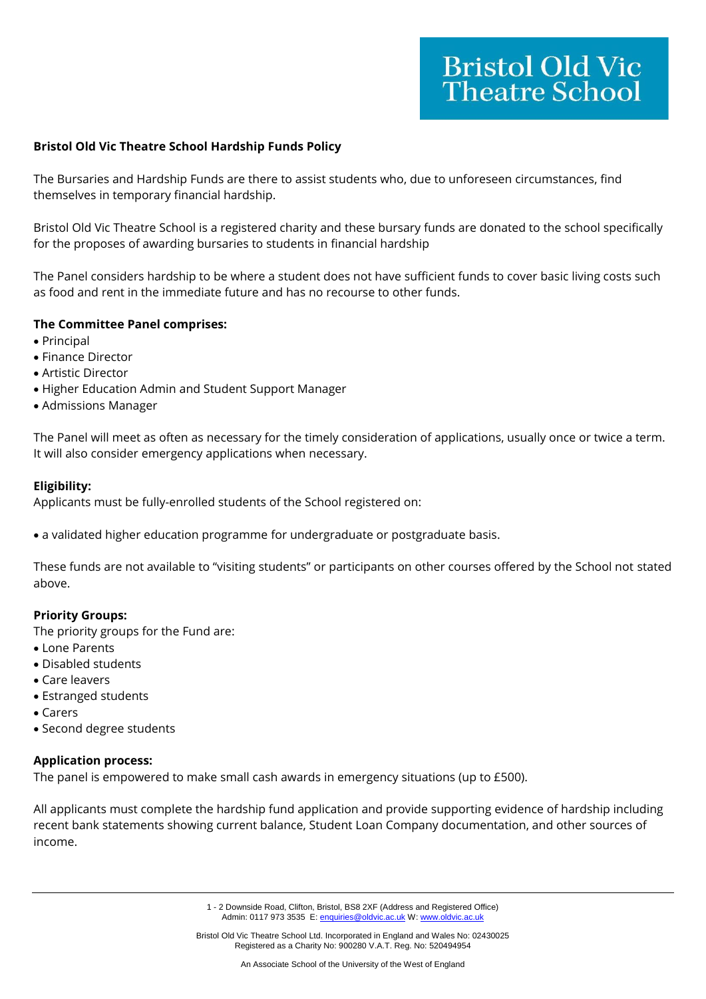## **Bristol Old Vic Theatre School Hardship Funds Policy**

The Bursaries and Hardship Funds are there to assist students who, due to unforeseen circumstances, find themselves in temporary financial hardship.

Bristol Old Vic Theatre School is a registered charity and these bursary funds are donated to the school specifically for the proposes of awarding bursaries to students in financial hardship

The Panel considers hardship to be where a student does not have sufficient funds to cover basic living costs such as food and rent in the immediate future and has no recourse to other funds.

## **The Committee Panel comprises:**

- Principal
- Finance Director
- Artistic Director
- Higher Education Admin and Student Support Manager
- Admissions Manager

The Panel will meet as often as necessary for the timely consideration of applications, usually once or twice a term. It will also consider emergency applications when necessary.

### **Eligibility:**

Applicants must be fully-enrolled students of the School registered on:

• a validated higher education programme for undergraduate or postgraduate basis.

These funds are not available to "visiting students" or participants on other courses offered by the School not stated above.

## **Priority Groups:**

The priority groups for the Fund are:

- Lone Parents
- Disabled students
- Care leavers
- Estranged students
- Carers
- Second degree students

## **Application process:**

The panel is empowered to make small cash awards in emergency situations (up to £500).

All applicants must complete the hardship fund application and provide supporting evidence of hardship including recent bank statements showing current balance, Student Loan Company documentation, and other sources of income.

> 1 - 2 Downside Road, Clifton, Bristol, BS8 2XF (Address and Registered Office) Admin: 0117 973 3535 E[: enquiries@oldvic.ac.uk](mailto:enquiries@oldvic.ac.uk) W: www.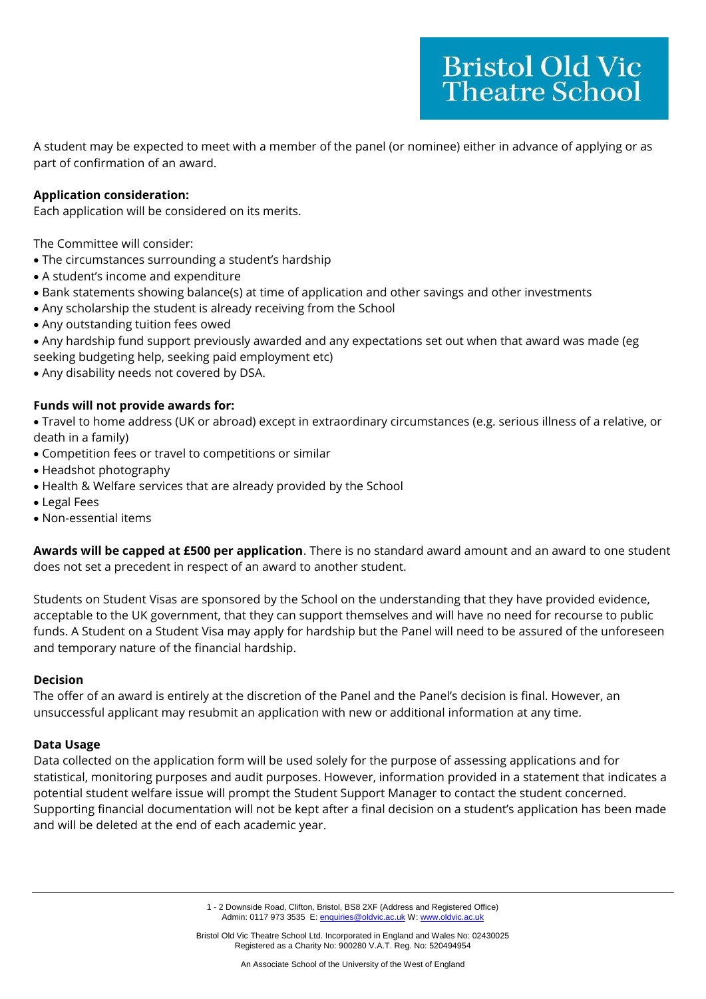A student may be expected to meet with a member of the panel (or nominee) either in advance of applying or as part of confirmation of an award.

# **Application consideration:**

Each application will be considered on its merits.

The Committee will consider:

- The circumstances surrounding a student's hardship
- A student's income and expenditure
- Bank statements showing balance(s) at time of application and other savings and other investments
- Any scholarship the student is already receiving from the School
- Any outstanding tuition fees owed
- Any hardship fund support previously awarded and any expectations set out when that award was made (eg seeking budgeting help, seeking paid employment etc)
- Any disability needs not covered by DSA.

# **Funds will not provide awards for:**

• Travel to home address (UK or abroad) except in extraordinary circumstances (e.g. serious illness of a relative, or death in a family)

- Competition fees or travel to competitions or similar
- Headshot photography
- Health & Welfare services that are already provided by the School
- Legal Fees
- Non-essential items

**Awards will be capped at £500 per application**. There is no standard award amount and an award to one student does not set a precedent in respect of an award to another student.

Students on Student Visas are sponsored by the School on the understanding that they have provided evidence, acceptable to the UK government, that they can support themselves and will have no need for recourse to public funds. A Student on a Student Visa may apply for hardship but the Panel will need to be assured of the unforeseen and temporary nature of the financial hardship.

## **Decision**

The offer of an award is entirely at the discretion of the Panel and the Panel's decision is final. However, an unsuccessful applicant may resubmit an application with new or additional information at any time.

## **Data Usage**

Data collected on the application form will be used solely for the purpose of assessing applications and for statistical, monitoring purposes and audit purposes. However, information provided in a statement that indicates a potential student welfare issue will prompt the Student Support Manager to contact the student concerned. Supporting financial documentation will not be kept after a final decision on a student's application has been made and will be deleted at the end of each academic year.

> 1 - 2 Downside Road, Clifton, Bristol, BS8 2XF (Address and Registered Office) Admin: 0117 973 3535 E[: enquiries@oldvic.ac.uk](mailto:enquiries@oldvic.ac.uk) W: www.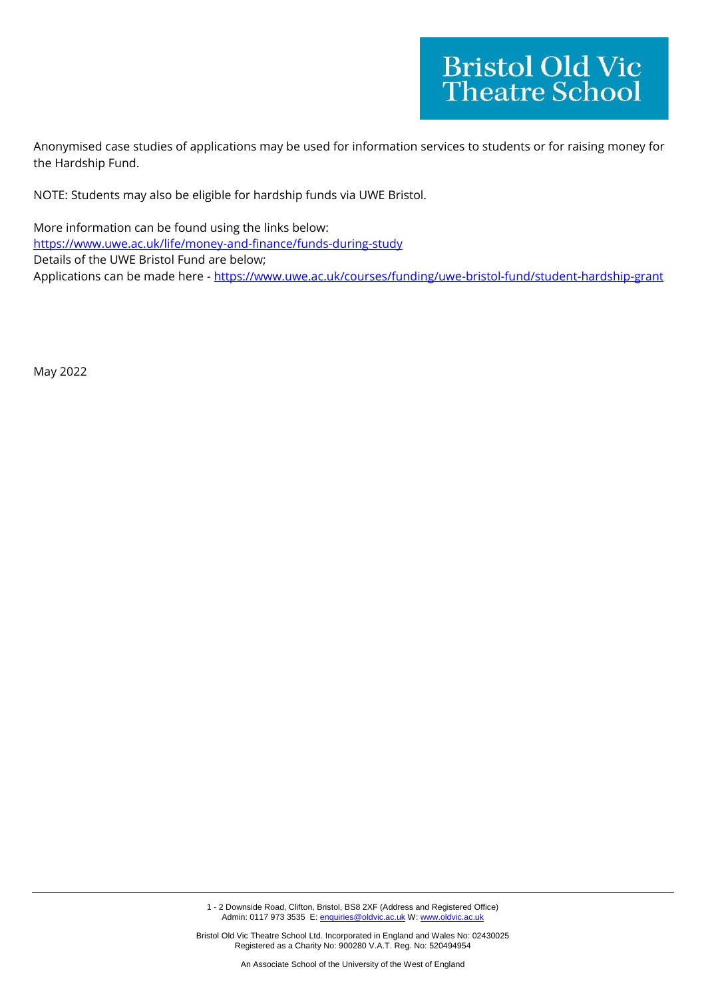Anonymised case studies of applications may be used for information services to students or for raising money for the Hardship Fund.

NOTE: Students may also be eligible for hardship funds via UWE Bristol.

More information can be found using the links below: <https://www.uwe.ac.uk/life/money-and-finance/funds-during-study> Details of the UWE Bristol Fund are below; Applications can be made here - <https://www.uwe.ac.uk/courses/funding/uwe-bristol-fund/student-hardship-grant>

May 2022

1 - 2 Downside Road, Clifton, Bristol, BS8 2XF (Address and Registered Office)<br>Admin: 0117 973 3535 E: enguiries@oldvic.ac.uk W: www.oldvic.ac.uk  $\Xi$  Bemnetas Nead, Simen, Brief, BSC  $\Xi$ .uk